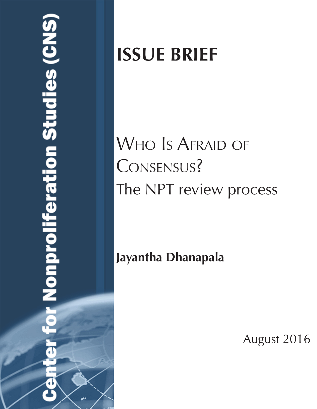# **Nonproliferation Studies (CN**

# **ISSUE BRIEF**

# WHO IS AFRAID OF Consensus? The NPT review process

**Jayantha Dhanapala**

August 2016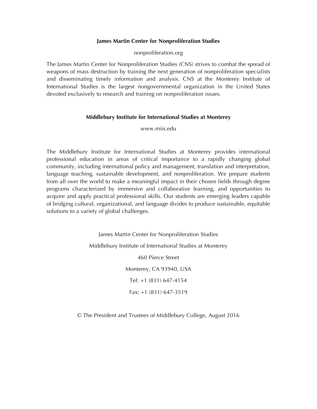### **James Martin Center for Nonproliferation Studies**

nonproliferation.org

The James Martin Center for Nonproliferation Studies (CNS) strives to combat the spread of weapons of mass destruction by training the next generation of nonproliferation specialists and disseminating timely information and analysis. CNS at the Monterey Institute of International Studies is the largest nongovernmental organization in the United States devoted exclusively to research and training on nonproliferation issues.

### **Middlebury Institute for International Studies at Monterey**

www.miis.edu

The Middlebury Institute for International Studies at Monterey provides international professional education in areas of critical importance to a rapidly changing global community, including international policy and management, translation and interpretation, language teaching, sustainable development, and nonproliferation. We prepare students from all over the world to make a meaningful impact in their chosen fields through degree programs characterized by immersive and collaborative learning, and opportunities to acquire and apply practical professional skills. Our students are emerging leaders capable of bridging cultural, organizational, and language divides to produce sustainable, equitable solutions to a variety of global challenges.

> James Martin Center for Nonproliferation Studies Middlebury Institute of International Studies at Monterey 460 Pierce Street Monterey, CA 93940, USA Tel: +1 (831) 647-4154 Fax: +1 (831) 647-3519

© The President and Trustees of Middlebury College, August 2016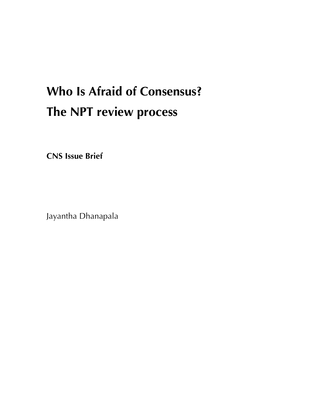# **Who Is Afraid of Consensus? The NPT review process**

**CNS Issue Brief**

Jayantha Dhanapala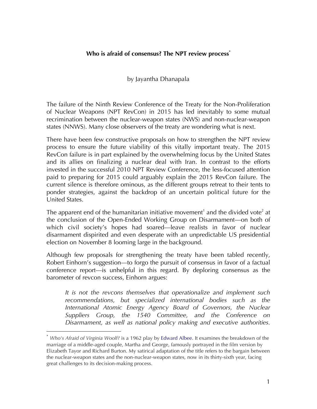### **Who is afraid of consensus? The NPT review process\***

by Jayantha Dhanapala

The failure of the Ninth Review Conference of the Treaty for the Non-Proliferation of Nuclear Weapons (NPT RevCon) in 2015 has led inevitably to some mutual recrimination between the nuclear-weapon states (NWS) and non-nuclear-weapon states (NNWS). Many close observers of the treaty are wondering what is next.

There have been few constructive proposals on how to strengthen the NPT review process to ensure the future viability of this vitally important treaty. The 2015 RevCon failure is in part explained by the overwhelming focus by the United States and its allies on finalizing a nuclear deal with Iran. In contrast to the efforts invested in the successful 2010 NPT Review Conference, the less-focused attention paid to preparing for 2015 could arguably explain the 2015 RevCon failure. The current silence is therefore ominous, as the different groups retreat to their tents to ponder strategies, against the backdrop of an uncertain political future for the United States.

The apparent end of the humanitarian initiative movement<sup>1</sup> and the divided vote<sup>2</sup> at the conclusion of the Open-Ended Working Group on Disarmament—on both of which civil society's hopes had soared—leave realists in favor of nuclear disarmament dispirited and even desperate with an unpredictable US presidential election on November 8 looming large in the background.

Although few proposals for strengthening the treaty have been tabled recently, Robert Einhorn's suggestion—to forgo the pursuit of consensus in favor of a factual conference report—is unhelpful in this regard. By deploring consensus as the barometer of revcon success, Einhorn argues:

*It is not the revcons themselves that operationalize and implement such recommendations, but specialized international bodies such as the International Atomic Energy Agency Board of Governors, the Nuclear Suppliers Group, the 1540 Committee, and the Conference on Disarmament, as well as national policy making and executive authorities.* 

 

<sup>\*</sup> *Who's Afraid of Virginia Woolf?* is a 1962 play by Edward Albee. It examines the breakdown of the marriage of a middle-aged couple, Martha and George, famously portrayed in the film version by Elizabeth Tayor and Richard Burton. My satirical adaptation of the title refers to the bargain between the nuclear-weapon states and the non-nuclear-weapon states, now in its thirty-sixth year, facing great challenges to its decision-making process.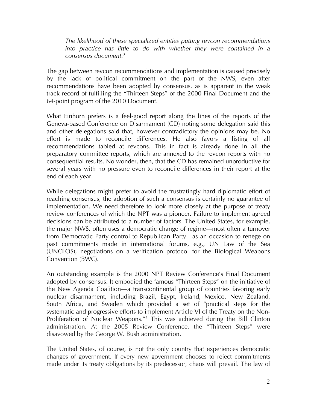*The likelihood of these specialized entities putting revcon recommendations into practice has little to do with whether they were contained in a consensus document.3*

The gap between revcon recommendations and implementation is caused precisely by the lack of political commitment on the part of the NWS, even after recommendations have been adopted by consensus, as is apparent in the weak track record of fulfilling the "Thirteen Steps" of the 2000 Final Document and the 64-point program of the 2010 Document.

What Einhorn prefers is a feel-good report along the lines of the reports of the Geneva-based Conference on Disarmament (CD) noting some delegation said this and other delegations said that, however contradictory the opinions may be. No effort is made to reconcile differences. He also favors a listing of all recommendations tabled at revcons. This in fact is already done in all the preparatory committee reports, which are annexed to the revcon reports with no consequential results. No wonder, then, that the CD has remained unproductive for several years with no pressure even to reconcile differences in their report at the end of each year.

While delegations might prefer to avoid the frustratingly hard diplomatic effort of reaching consensus, the adoption of such a consensus is certainly no guarantee of implementation. We need therefore to look more closely at the purpose of treaty review conferences of which the NPT was a pioneer. Failure to implement agreed decisions can be attributed to a number of factors. The United States, for example, the major NWS, often uses a democratic change of regime—most often a turnover from Democratic Party control to Republican Party—as an occasion to renege on past commitments made in international forums, e.g., UN Law of the Sea (UNCLOS), negotiations on a verification protocol for the Biological Weapons Convention (BWC).

An outstanding example is the 2000 NPT Review Conference's Final Document adopted by consensus. It embodied the famous "Thirteen Steps" on the initiative of the New Agenda Coalition—a transcontinental group of countries favoring early nuclear disarmament, including Brazil, Egypt, Ireland, Mexico, New Zealand, South Africa, and Sweden which provided a set of "practical steps for the systematic and progressive efforts to implement Article VI of the Treaty on the Non-Proliferation of Nuclear Weapons."4 This was achieved during the Bill Clinton administration. At the 2005 Review Conference, the "Thirteen Steps" were disavowed by the George W. Bush administration.

The United States, of course, is not the only country that experiences democratic changes of government. If every new government chooses to reject commitments made under its treaty obligations by its predecessor, chaos will prevail. The law of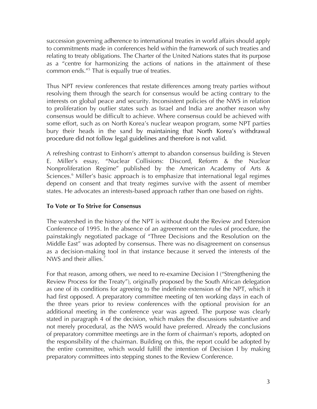succession governing adherence to international treaties in world affairs should apply to commitments made in conferences held within the framework of such treaties and relating to treaty obligations. The Charter of the United Nations states that its purpose as a "centre for harmonizing the actions of nations in the attainment of these common ends."<sup>5</sup> That is equally true of treaties.

Thus NPT review conferences that restate differences among treaty parties without resolving them through the search for consensus would be acting contrary to the interests on global peace and security. Inconsistent policies of the NWS in relation to proliferation by outlier states such as Israel and India are another reason why consensus would be difficult to achieve. Where consensus could be achieved with some effort, such as on North Korea's nuclear weapon program, some NPT parties bury their heads in the sand by maintaining that North Korea's withdrawal procedure did not follow legal guidelines and therefore is not valid.

A refreshing contrast to Einhorn's attempt to abandon consensus building is Steven E. Miller's essay, "Nuclear Collisions: Discord, Reform & the Nuclear Nonproliferation Regime" published by the American Academy of Arts & Sciences.<sup>6</sup> Miller's basic approach is to emphasize that international legal regimes depend on consent and that treaty regimes survive with the assent of member states. He advocates an interests-based approach rather than one based on rights.

### **To Vote or To Strive for Consensus**

The watershed in the history of the NPT is without doubt the Review and Extension Conference of 1995. In the absence of an agreement on the rules of procedure, the painstakingly negotiated package of "Three Decisions and the Resolution on the Middle East" was adopted by consensus. There was no disagreement on consensus as a decision-making tool in that instance because it served the interests of the NWS and their allies.<sup>7</sup>

For that reason, among others, we need to re-examine Decision I ("Strengthening the Review Process for the Treaty"), originally proposed by the South African delegation as one of its conditions for agreeing to the indefinite extension of the NPT, which it had first opposed. A preparatory committee meeting of ten working days in each of the three years prior to review conferences with the optional provision for an additional meeting in the conference year was agreed. The purpose was clearly stated in paragraph 4 of the decision, which makes the discussions substantive and not merely procedural, as the NWS would have preferred. Already the conclusions of preparatory committee meetings are in the form of chairman's reports, adopted on the responsibility of the chairman. Building on this, the report could be adopted by the entire committee, which would fulfill the intention of Decision I by making preparatory committees into stepping stones to the Review Conference.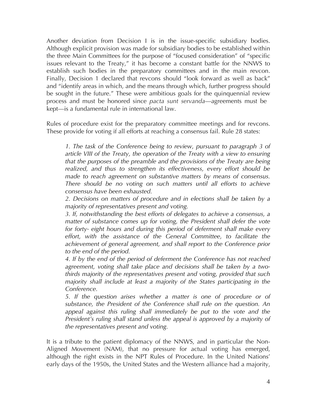Another deviation from Decision I is in the issue-specific subsidiary bodies. Although explicit provision was made for subsidiary bodies to be established within the three Main Committees for the purpose of "focused consideration" of "specific issues relevant to the Treaty," it has become a constant battle for the NNWS to establish such bodies in the preparatory committees and in the main revcon. Finally, Decision 1 declared that revcons should "look forward as well as back" and "identify areas in which, and the means through which, further progress should be sought in the future." These were ambitious goals for the quinquennial review process and must be honored since *pacta sunt servanda*—agreements must be kept—is a fundamental rule in international law.

Rules of procedure exist for the preparatory committee meetings and for revcons. These provide for voting if all efforts at reaching a consensus fail. Rule 28 states:

*1. The task of the Conference being to review, pursuant to paragraph 3 of article VIII of the Treaty, the operation of the Treaty with a view to ensuring that the purposes of the preamble and the provisions of the Treaty are being realized, and thus to strengthen its effectiveness, every effort should be made to reach agreement on substantive matters by means of consensus. There should be no voting on such matters until all efforts to achieve consensus have been exhausted.* 

*2. Decisions on matters of procedure and in elections shall be taken by a majority of representatives present and voting.* 

*3. If, notwithstanding the best efforts of delegates to achieve a consensus, a matter of substance comes up for voting, the President shall defer the vote for forty- eight hours and during this period of deferment shall make every effort, with the assistance of the General Committee, to facilitate the achievement of general agreement, and shall report to the Conference prior to the end of the period.* 

*4. If by the end of the period of deferment the Conference has not reached agreement, voting shall take place and decisions shall be taken by a twothirds majority of the representatives present and voting, provided that such majority shall include at least a majority of the States participating in the Conference.* 

*5. If the question arises whether a matter is one of procedure or of substance, the President of the Conference shall rule on the question. An appeal against this ruling shall immediately be put to the vote and the President's ruling shall stand unless the appeal is approved by a majority of the representatives present and voting.*

It is a tribute to the patient diplomacy of the NNWS, and in particular the Non-Aligned Movement (NAM), that no pressure for actual voting has emerged, although the right exists in the NPT Rules of Procedure. In the United Nations' early days of the 1950s, the United States and the Western alliance had a majority,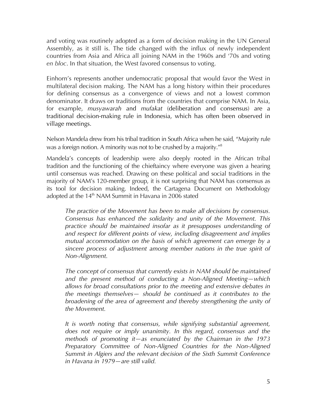and voting was routinely adopted as a form of decision making in the UN General Assembly, as it still is. The tide changed with the influx of newly independent countries from Asia and Africa all joining NAM in the 1960s and '70s and voting *en bloc*. In that situation, the West favored consensus to voting.

Einhorn's represents another undemocratic proposal that would favor the West in multilateral decision making. The NAM has a long history within their procedures for defining consensus as a convergence of views and not a lowest common denominator. It draws on traditions from the countries that comprise NAM. In Asia, for example, *musyawarah* and *mufakat* (deliberation and consensus) are a traditional decision‐making rule in Indonesia, which has often been observed in village meetings.

Nelson Mandela drew from his tribal tradition in South Africa when he said, "Majority rule was a foreign notion. A minority was not to be crushed by a majority.<sup>"8</sup>

Mandela's concepts of leadership were also deeply rooted in the African tribal tradition and the functioning of the chieftaincy where everyone was given a hearing until consensus was reached. Drawing on these political and social traditions in the majority of NAM's 120-member group, it is not surprising that NAM has consensus as its tool for decision making. Indeed, the Cartagena Document on Methodology adopted at the 14<sup>th</sup> NAM Summit in Havana in 2006 stated

*The practice of the Movement has been to make all decisions by consensus. Consensus has enhanced the solidarity and unity of the Movement. This practice should be maintained insofar as it presupposes understanding of and respect for different points of view, including disagreement and implies mutual accommodation on the basis of which agreement can emerge by a sincere process of adjustment among member nations in the true spirit of Non-Alignment.* 

*The concept of consensus that currently exists in NAM should be maintained and the present method of conducting a Non-Aligned Meeting—which allows for broad consultations prior to the meeting and extensive debates in the meetings themselves— should be continued as it contributes to the broadening of the area of agreement and thereby strengthening the unity of the Movement.*

*It is worth noting that consensus, while signifying substantial agreement, does not require or imply unanimity. In this regard, consensus and the methods of promoting it—as enunciated by the Chairman in the 1973 Preparatory Committee of Non-Aligned Countries for the Non-Aligned Summit in Algiers and the relevant decision of the Sixth Summit Conference in Havana in 1979—are still valid.*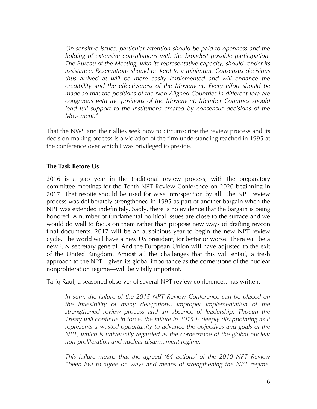*On sensitive issues, particular attention should be paid to openness and the holding of extensive consultations with the broadest possible participation. The Bureau of the Meeting, with its representative capacity, should render its assistance. Reservations should be kept to a minimum. Consensus decisions thus arrived at will be more easily implemented and will enhance the credibility and the effectiveness of the Movement. Every effort should be made so that the positions of the Non-Aligned Countries in different fora are congruous with the positions of the Movement. Member Countries should*  lend full support to the institutions created by consensus decisions of the *Movement.9*

That the NWS and their allies seek now to circumscribe the review process and its decision-making process is a violation of the firm understanding reached in 1995 at the conference over which I was privileged to preside.

### **The Task Before Us**

2016 is a gap year in the traditional review process, with the preparatory committee meetings for the Tenth NPT Review Conference on 2020 beginning in 2017. That respite should be used for wise introspection by all. The NPT review process was deliberately strengthened in 1995 as part of another bargain when the NPT was extended indefinitely. Sadly, there is no evidence that the bargain is being honored. A number of fundamental political issues are close to the surface and we would do well to focus on them rather than propose new ways of drafting revcon final documents. 2017 will be an auspicious year to begin the new NPT review cycle. The world will have a new US president, for better or worse. There will be a new UN secretary-general. And the European Union will have adjusted to the exit of the United Kingdom. Amidst all the challenges that this will entail, a fresh approach to the NPT—given its global importance as the cornerstone of the nuclear nonproliferation regime—will be vitally important.

Tariq Rauf, a seasoned observer of several NPT review conferences, has written:

In sum, the failure of the 2015 NPT Review Conference can be placed on *the inflexibility of many delegations, improper implementation of the strengthened review process and an absence of leadership. Though the Treaty will continue in force, the failure in 2015 is deeply disappointing as it represents a wasted opportunity to advance the objectives and goals of the NPT, which is universally regarded as the cornerstone of the global nuclear non-proliferation and nuclear disarmament regime.*

*This failure means that the agreed '64 actions' of the 2010 NPT Review "been lost to agree on ways and means of strengthening the NPT regime.*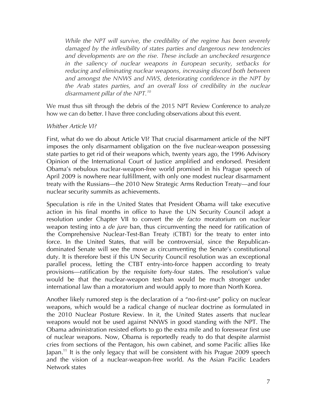*While the NPT will survive, the credibility of the regime has been severely damaged by the inflexibility of states parties and dangerous new tendencies and developments are on the rise. These include an unchecked resurgence in the saliency of nuclear weapons in European security, setbacks for reducing and eliminating nuclear weapons, increasing discord both between and amongst the NNWS and NWS, deteriorating confidence in the NPT by the Arab states parties, and an overall loss of credibility in the nuclear disarmament pillar of the NPT.10*

We must thus sift through the debris of the 2015 NPT Review Conference to analyze how we can do better. I have three concluding observations about this event.

### *Whither Article VI?*

First, what do we do about Article VI? That crucial disarmament article of the NPT imposes the only disarmament obligation on the five nuclear-weapon possessing state parties to get rid of their weapons which, twenty years ago, the 1996 Advisory Opinion of the International Court of Justice amplified and endorsed. President Obama's nebulous nuclear-weapon-free world promised in his Prague speech of April 2009 is nowhere near fulfillment, with only one modest nuclear disarmament treaty with the Russians—the 2010 New Strategic Arms Reduction Treaty—and four nuclear security summits as achievements.

Speculation is rife in the United States that President Obama will take executive action in his final months in office to have the UN Security Council adopt a resolution under Chapter VII to convert the *de facto* moratorium on nuclear weapon testing into a *de jure* ban, thus circumventing the need for ratification of the Comprehensive Nuclear-Test-Ban Treaty (CTBT) for the treaty to enter into force. In the United States, that will be controversial, since the Republicandominated Senate will see the move as circumventing the Senate's constitutional duty. It is therefore best if this UN Security Council resolution was an exceptional parallel process, letting the CTBT entry-into-force happen according to treaty provisions—ratification by the requisite forty-four states. The resolution's value would be that the nuclear-weapon test-ban would be much stronger under international law than a moratorium and would apply to more than North Korea.

Another likely rumored step is the declaration of a "no-first-use" policy on nuclear weapons, which would be a radical change of nuclear doctrine as formulated in the 2010 Nuclear Posture Review. In it, the United States asserts that nuclear weapons would not be used against NNWS in good standing with the NPT. The Obama administration resisted efforts to go the extra mile and to foreswear first use of nuclear weapons. Now, Obama is reportedly ready to do that despite alarmist cries from sections of the Pentagon, his own cabinet, and some Pacific allies like Japan.<sup>11</sup> It is the only legacy that will be consistent with his Prague 2009 speech and the vision of a nuclear-weapon-free world. As the Asian Pacific Leaders Network states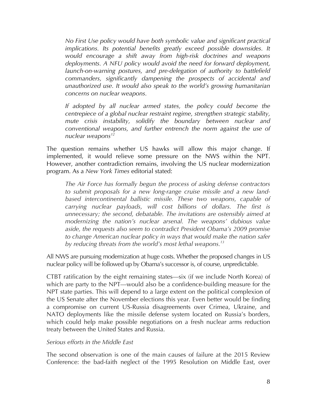*No First Use policy would have both symbolic value and significant practical implications. Its potential benefits greatly exceed possible downsides. It would encourage a shift away from high-risk doctrines and weapons deployments. A NFU policy would avoid the need for forward deployment, launch-on-warning postures, and pre-delegation of authority to battlefield commanders, significantly dampening the prospects of accidental and unauthorized use. It would also speak to the world's growing humanitarian concerns on nuclear weapons.*

*If adopted by all nuclear armed states, the policy could become the centrepiece of a global nuclear restraint regime, strengthen strategic stability, mute crisis instability, solidify the boundary between nuclear and conventional weapons, and further entrench the norm against the use of nuclear weapons12*

The question remains whether US hawks will allow this major change. If implemented, it would relieve some pressure on the NWS within the NPT. However, another contradiction remains, involving the US nuclear modernization program. As a *New York Times* editorial stated:

*The Air Force has formally begun the process of asking defense contractors to submit proposals for a new long-range cruise missile and a new landbased intercontinental ballistic missile. These two weapons, capable of carrying nuclear payloads, will cost billions of dollars. The first is unnecessary; the second, debatable. The invitations are ostensibly aimed at modernizing the nation's nuclear arsenal. The weapons' dubious value aside, the requests also seem to contradict President Obama's 2009 promise to change American nuclear policy in ways that would make the nation safer by reducing threats from the world's most lethal weapons.13*

All NWS are pursuing modernization at huge costs. Whether the proposed changes in US nuclear policy will be followed up by Obama's successor is, of course, unpredictable.

CTBT ratification by the eight remaining states—six (if we include North Korea) of which are party to the NPT—would also be a confidence-building measure for the NPT state parties. This will depend to a large extent on the political complexion of the US Senate after the November elections this year. Even better would be finding a compromise on current US-Russia disagreements over Crimea, Ukraine, and NATO deployments like the missile defense system located on Russia's borders, which could help make possible negotiations on a fresh nuclear arms reduction treaty between the United States and Russia.

### *Serious efforts in the Middle East*

The second observation is one of the main causes of failure at the 2015 Review Conference: the bad-faith neglect of the 1995 Resolution on Middle East, over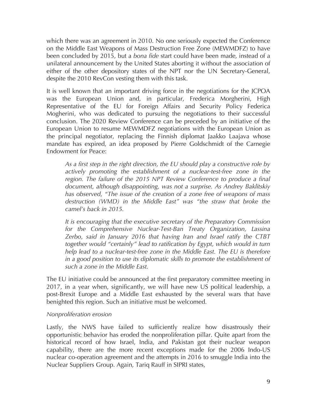which there was an agreement in 2010. No one seriously expected the Conference on the Middle East Weapons of Mass Destruction Free Zone (MEWMDFZ) to have been concluded by 2015, but a *bona fide* start could have been made, instead of a unilateral announcement by the United States aborting it without the association of either of the other depository states of the NPT nor the UN Secretary-General, despite the 2010 RevCon vesting them with this task.

It is well known that an important driving force in the negotiations for the JCPOA was the European Union and, in particular, Frederica Morgherini, High Representative of the EU for Foreign Affairs and Security Policy Federica Mogherini, who was dedicated to pursuing the negotiations to their successful conclusion. The 2020 Review Conference can be preceded by an initiative of the European Union to resume MEWMDFZ negotiations with the European Union as the principal negotiator, replacing the Finnish diplomat Jaakko Laajava whose mandate has expired, an idea proposed by Pierre Goldschmidt of the Carnegie Endowment for Peace:

*As a first step in the right direction, the EU should play a constructive role by actively promoting the establishment of a nuclear-test-free zone in the*  region. The failure of the 2015 NPT Review Conference to produce a final *document, although disappointing, was not a surprise. As Andrey Baklitskiy has observed, "The issue of the creation of a zone free of weapons of mass destruction (WMD) in the Middle East" was "the straw that broke the camel's back in 2015.* 

*It is encouraging that the executive secretary of the Preparatory Commission for the Comprehensive Nuclear-Test-Ban Treaty Organization, Lassina Zerbo, said in January 2016 that having Iran and Israel ratify the CTBT together would "certainly" lead to ratification by Egypt, which would in turn help lead to a nuclear-test-free zone in the Middle East. The EU is therefore in a good position to use its diplomatic skills to promote the establishment of such a zone in the Middle East.*

The EU initiative could be announced at the first preparatory committee meeting in 2017, in a year when, significantly, we will have new US political leadership, a post-Brexit Europe and a Middle East exhausted by the several wars that have benighted this region. Such an initiative must be welcomed.

### *Nonproliferation erosion*

Lastly, the NWS have failed to sufficiently realize how disastrously their opportunistic behavior has eroded the nonproliferation pillar. Quite apart from the historical record of how Israel, India, and Pakistan got their nuclear weapon capability, there are the more recent exceptions made for the 2006 Indo-US nuclear co-operation agreement and the attempts in 2016 to smuggle India into the Nuclear Suppliers Group. Again, Tariq Rauff in SIPRI states,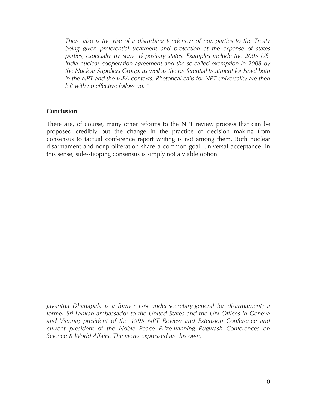*There also is the rise of a disturbing tendency: of non-parties to the Treaty being given preferential treatment and protection at the expense of states parties, especially by some depositary states. Examples include the 2005 US-India nuclear cooperation agreement and the so-called exemption in 2008 by the Nuclear Suppliers Group, as well as the preferential treatment for Israel both in the NPT and the IAEA contexts. Rhetorical calls for NPT universality are then left with no effective follow-up.14*

### **Conclusion**

There are, of course, many other reforms to the NPT review process that can be proposed credibly but the change in the practice of decision making from consensus to factual conference report writing is not among them. Both nuclear disarmament and nonproliferation share a common goal: universal acceptance. In this sense, side-stepping consensus is simply not a viable option.

*Jayantha Dhanapala is a former UN under-secretary-general for disarmament; a former Sri Lankan ambassador to the United States and the UN Offices in Geneva and Vienna; president of the 1995 NPT Review and Extension Conference and current president of the Noble Peace Prize-winning Pugwash Conferences on Science & World Affairs. The views expressed are his own.*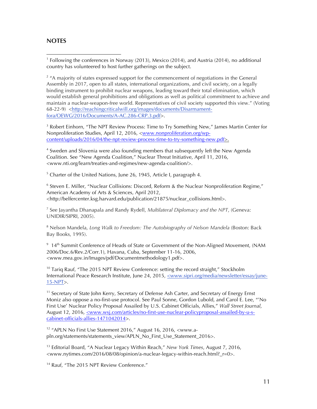### **NOTES**

 

<sup>1</sup> Following the conferences in Norway (2013), Mexico (2014), and Austria (2014), no additional country has volunteered to host further gatherings on the subject.

 $2$  "A majority of states expressed support for the commencement of negotiations in the General Assembly in 2017, open to all states, international organizations, and civil society, on a legally binding instrument to prohibit nuclear weapons, leading toward their total elimination, which would establish general prohibitions and obligations as well as political commitment to achieve and maintain a nuclear-weapon-free world. Representatives of civil society supported this view." (Voting 68-22-9) <http://reachingcriticalwill.org/images/documents/Disarmamentfora/OEWG/2016/Documents/A-AC.286-CRP.3.pdf>.

<sup>3</sup> Robert Einhorn, "The NPT Review Process: Time to Try Something New," James Martin Center for Nonproliferation Studies, April 12, 2016, <www.nonproliferation.org/wpcontent/uploads/2016/04/the-npt-review-process-time-to-try-something-new.pdf>.

<sup>4</sup> Sweden and Slovenia were also founding members that subsequently left the New Agenda Coalition. See "New Agenda Coalition," Nuclear Threat Initiative, April 11, 2016, <www.nti.org/learn/treaties-and-regimes/new-agenda-coalition/>.

<sup>5</sup> Charter of the United Nations, June 26, 1945, Article I, paragraph 4.

 $6$  Steven E. Miller, "Nuclear Collisions: Discord, Reform & the Nuclear Nonproliferation Regime," American Academy of Arts & Sciences, April 2012, <http://belfercenter.ksg.harvard.edu/publication/21875/nuclear\_collisions.html>.

<sup>7</sup> See Jayantha Dhanapala and Randy Rydell, *Multilateral Diplomacy and the NPT*, (Geneva: UNIDIR/SIPRI, 2005).

<sup>8</sup> Nelson Mandela, *Long Walk to Freedom: The Autobiography of Nelson Mandela* (Boston: Back Bay Books, 1995).

<sup>9</sup> 14<sup>th</sup> Summit Conference of Heads of State or Government of the Non-Aligned Movement, (NAM 2006/Doc.6/Rev.2/Corr.1), Havana, Cuba, September 11-16, 2006, <www.mea.gov.in/Images/pdf/Documentmethodology1.pdf>.

 $10$  Tariq Rauf, "The 2015 NPT Review Conference: setting the record straight," Stockholm International Peace Research Institute, June 24, 2015, <www.sipri.org/media/newsletter/essay/june-15-NPT>.

<sup>11</sup> Secretary of State John Kerry, Secretary of Defense Ash Carter, and Secretary of Energy Ernst Moniz also oppose a no-first-use protocol. See Paul Sonne, Gordon Lubold, and Carol E. Lee, "'No First Use' Nuclear Policy Proposal Assailed by U.S. Cabinet Officials, Allies," *Wall Street Journal*, August 12, 2016, <www.wsj.com/articles/no-first-use-nuclear-policyproposal-assailed-by-u-scabinet-officials-allies-1471042014>.

<sup>12</sup> "APLN No First Use Statement 2016," August 16, 2016, <www.apln.org/statements/statements\_view/APLN\_No\_First\_Use\_Statement\_2016>.

<sup>13</sup> Editorial Board, "A Nuclear Legacy Within Reach," *New York Times*, August 7, 2016, <www.nytimes.com/2016/08/08/opinion/a-nuclear-legacy-within-reach.html?\_r=0>.

<sup>14</sup> Rauf, "The 2015 NPT Review Conference."